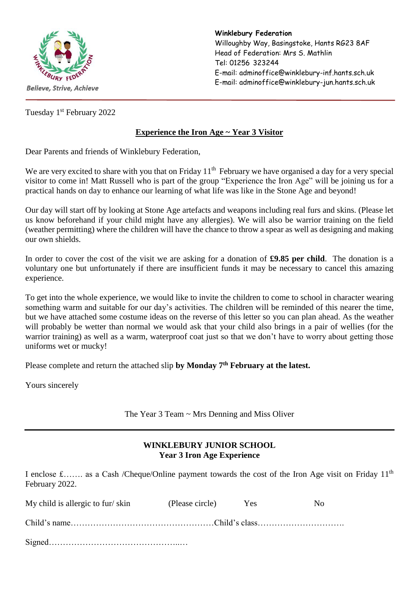

**Winklebury Federation** Willoughby Way, Basingstoke, Hants RG23 8AF Head of Federation: Mrs S. Mathlin Tel: 01256 323244 E-mail: adminoffice@winklebury-inf.hants.sch.uk E-mail: adminoffice@winklebury-jun.hants.sch.uk

Tuesday 1<sup>st</sup> February 2022

## **Experience the Iron Age ~ Year 3 Visitor**

Dear Parents and friends of Winklebury Federation,

We are very excited to share with you that on Friday 11<sup>th</sup> February we have organised a day for a very special visitor to come in! Matt Russell who is part of the group "Experience the Iron Age" will be joining us for a practical hands on day to enhance our learning of what life was like in the Stone Age and beyond!

Our day will start off by looking at Stone Age artefacts and weapons including real furs and skins. (Please let us know beforehand if your child might have any allergies). We will also be warrior training on the field (weather permitting) where the children will have the chance to throw a spear as well as designing and making our own shields.

In order to cover the cost of the visit we are asking for a donation of **£9.85 per child**. The donation is a voluntary one but unfortunately if there are insufficient funds it may be necessary to cancel this amazing experience.

To get into the whole experience, we would like to invite the children to come to school in character wearing something warm and suitable for our day's activities. The children will be reminded of this nearer the time, but we have attached some costume ideas on the reverse of this letter so you can plan ahead. As the weather will probably be wetter than normal we would ask that your child also brings in a pair of wellies (for the warrior training) as well as a warm, waterproof coat just so that we don't have to worry about getting those uniforms wet or mucky!

Please complete and return the attached slip **by Monday 7th February at the latest.** 

Yours sincerely

The Year 3 Team ~ Mrs Denning and Miss Oliver

## **WINKLEBURY JUNIOR SCHOOL Year 3 Iron Age Experience**

I enclose  $\pounds$ ...... as a Cash /Cheque/Online payment towards the cost of the Iron Age visit on Friday 11<sup>th</sup> February 2022.

| My child is allergic to fur/skin | (Please circle) | <b>Yes</b> | No. |
|----------------------------------|-----------------|------------|-----|
|                                  |                 |            |     |
|                                  |                 |            |     |